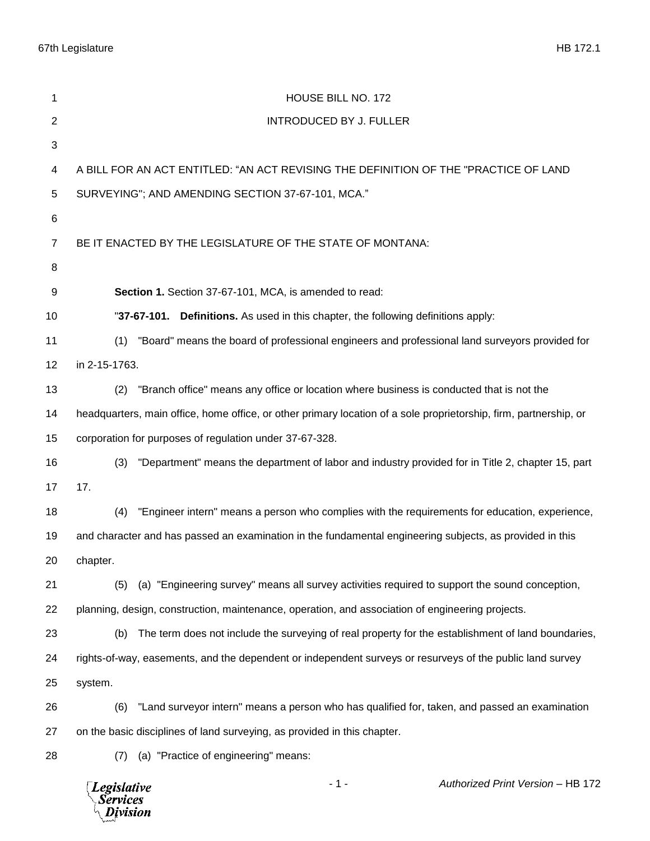| 1              | HOUSE BILL NO. 172                                                                                                |
|----------------|-------------------------------------------------------------------------------------------------------------------|
| $\overline{2}$ | <b>INTRODUCED BY J. FULLER</b>                                                                                    |
| 3              |                                                                                                                   |
| 4              | A BILL FOR AN ACT ENTITLED: "AN ACT REVISING THE DEFINITION OF THE "PRACTICE OF LAND                              |
| $\sqrt{5}$     | SURVEYING"; AND AMENDING SECTION 37-67-101, MCA."                                                                 |
| 6              |                                                                                                                   |
| $\overline{7}$ | BE IT ENACTED BY THE LEGISLATURE OF THE STATE OF MONTANA:                                                         |
| 8              |                                                                                                                   |
| 9              | Section 1. Section 37-67-101, MCA, is amended to read:                                                            |
| 10             | "37-67-101. Definitions. As used in this chapter, the following definitions apply:                                |
| 11             | "Board" means the board of professional engineers and professional land surveyors provided for<br>(1)             |
| 12             | in 2-15-1763.                                                                                                     |
| 13             | "Branch office" means any office or location where business is conducted that is not the<br>(2)                   |
| 14             | headquarters, main office, home office, or other primary location of a sole proprietorship, firm, partnership, or |
| 15             | corporation for purposes of regulation under 37-67-328.                                                           |
| 16             | "Department" means the department of labor and industry provided for in Title 2, chapter 15, part<br>(3)          |
| 17             | 17.                                                                                                               |
| 18             | "Engineer intern" means a person who complies with the requirements for education, experience,<br>(4)             |
| 19             | and character and has passed an examination in the fundamental engineering subjects, as provided in this          |
| 20             | chapter.                                                                                                          |
| 21             | (a) "Engineering survey" means all survey activities required to support the sound conception,<br>(5)             |
| 22             | planning, design, construction, maintenance, operation, and association of engineering projects.                  |
| 23             | The term does not include the surveying of real property for the establishment of land boundaries,<br>(b)         |
| 24             | rights-of-way, easements, and the dependent or independent surveys or resurveys of the public land survey         |
| 25             | system.                                                                                                           |
| 26             | "Land surveyor intern" means a person who has qualified for, taken, and passed an examination<br>(6)              |
| 27             | on the basic disciplines of land surveying, as provided in this chapter.                                          |
| 28             | (a) "Practice of engineering" means:<br>(7)                                                                       |
|                | Authorized Print Version - HB 172<br>$-1-$<br><b>Legislative</b><br>Services<br><b>Division</b>                   |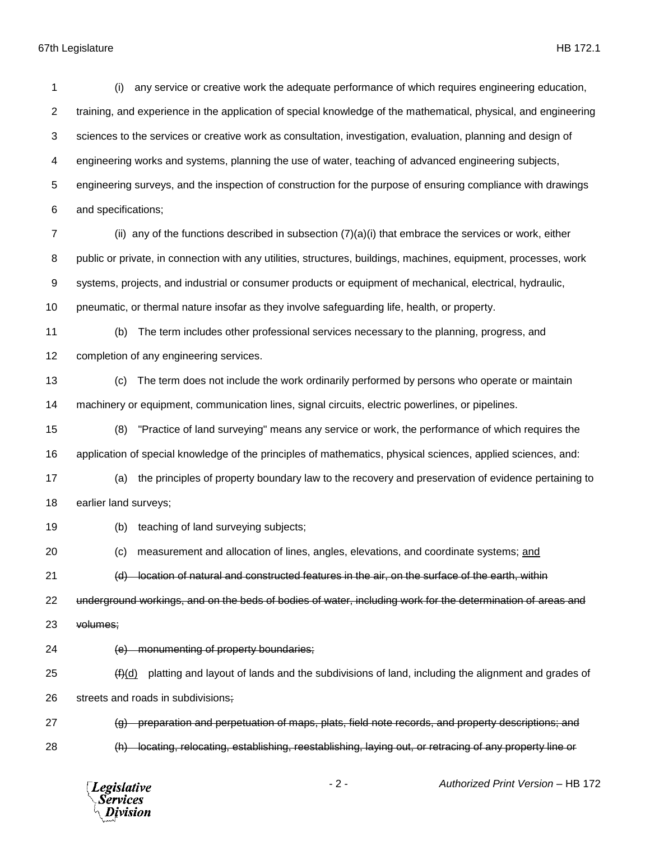67th Legislature HB 172.1

 (i) any service or creative work the adequate performance of which requires engineering education, training, and experience in the application of special knowledge of the mathematical, physical, and engineering sciences to the services or creative work as consultation, investigation, evaluation, planning and design of engineering works and systems, planning the use of water, teaching of advanced engineering subjects, engineering surveys, and the inspection of construction for the purpose of ensuring compliance with drawings and specifications; (ii) any of the functions described in subsection  $(7)(a)(i)$  that embrace the services or work, either public or private, in connection with any utilities, structures, buildings, machines, equipment, processes, work systems, projects, and industrial or consumer products or equipment of mechanical, electrical, hydraulic, pneumatic, or thermal nature insofar as they involve safeguarding life, health, or property. (b) The term includes other professional services necessary to the planning, progress, and completion of any engineering services. (c) The term does not include the work ordinarily performed by persons who operate or maintain machinery or equipment, communication lines, signal circuits, electric powerlines, or pipelines. (8) "Practice of land surveying" means any service or work, the performance of which requires the application of special knowledge of the principles of mathematics, physical sciences, applied sciences, and: (a) the principles of property boundary law to the recovery and preservation of evidence pertaining to earlier land surveys; (b) teaching of land surveying subjects; (c) measurement and allocation of lines, angles, elevations, and coordinate systems; and 21 (d) location of natural and constructed features in the air, on the surface of the earth, within underground workings, and on the beds of bodies of water, including work for the determination of areas and volumes; (e) monumenting of property boundaries;  $(4)$ (d) platting and layout of lands and the subdivisions of land, including the alignment and grades of streets and roads in subdivisions; (g) preparation and perpetuation of maps, plats, field note records, and property descriptions; and (h) locating, relocating, establishing, reestablishing, laying out, or retracing of any property line or

**Legislative Services** Division

- 2 - *Authorized Print Version* – HB 172